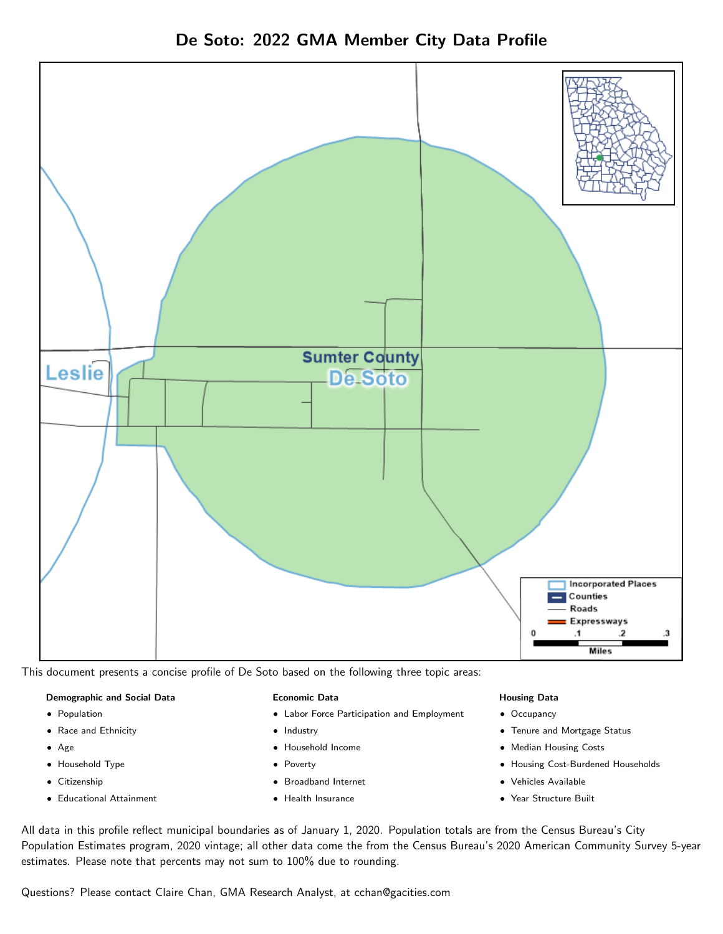



This document presents a concise profile of De Soto based on the following three topic areas:

#### Demographic and Social Data

- **•** Population
- Race and Ethnicity
- Age
- Household Type
- **Citizenship**
- Educational Attainment

### Economic Data

- Labor Force Participation and Employment
- Industry
- Household Income
- Poverty
- Broadband Internet
- Health Insurance

#### Housing Data

- Occupancy
- Tenure and Mortgage Status
- Median Housing Costs
- Housing Cost-Burdened Households
- Vehicles Available
- Year Structure Built

All data in this profile reflect municipal boundaries as of January 1, 2020. Population totals are from the Census Bureau's City Population Estimates program, 2020 vintage; all other data come the from the Census Bureau's 2020 American Community Survey 5-year estimates. Please note that percents may not sum to 100% due to rounding.

Questions? Please contact Claire Chan, GMA Research Analyst, at [cchan@gacities.com.](mailto:cchan@gacities.com)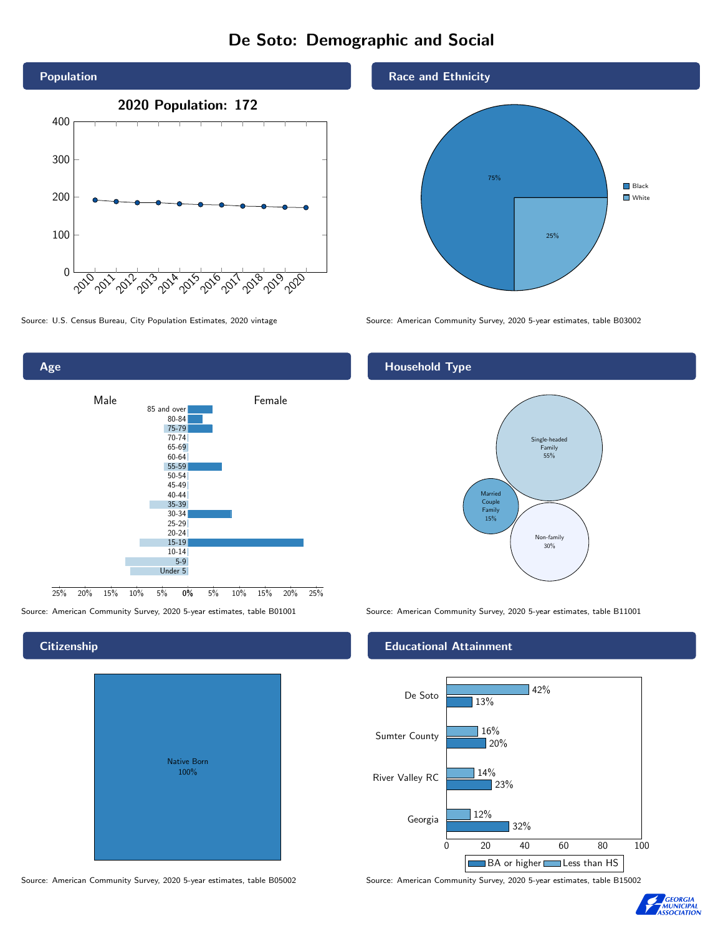# De Soto: Demographic and Social





## **Citizenship**

| <b>Native Born</b><br>100% |  |
|----------------------------|--|

Source: American Community Survey, 2020 5-year estimates, table B05002 Source: American Community Survey, 2020 5-year estimates, table B15002

#### Race and Ethnicity



Source: U.S. Census Bureau, City Population Estimates, 2020 vintage Source: American Community Survey, 2020 5-year estimates, table B03002

# Household Type



Source: American Community Survey, 2020 5-year estimates, table B01001 Source: American Community Survey, 2020 5-year estimates, table B11001

#### Educational Attainment



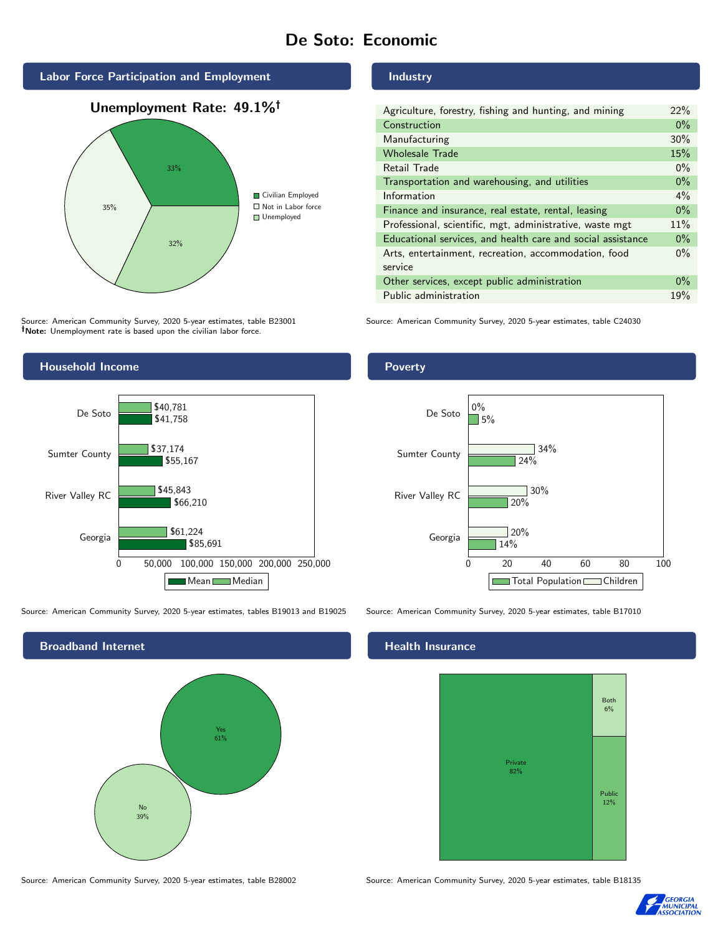# De Soto: Economic



Source: American Community Survey, 2020 5-year estimates, table B23001 Note: Unemployment rate is based upon the civilian labor force.



Source: American Community Survey, 2020 5-year estimates, tables B19013 and B19025 Source: American Community Survey, 2020 5-year estimates, table B17010



#### Industry

| Agriculture, forestry, fishing and hunting, and mining      | 22%   |
|-------------------------------------------------------------|-------|
| Construction                                                |       |
| Manufacturing                                               | 30%   |
| <b>Wholesale Trade</b>                                      | 15%   |
| Retail Trade                                                | $0\%$ |
| Transportation and warehousing, and utilities               |       |
| Information                                                 |       |
| Finance and insurance, real estate, rental, leasing         |       |
| Professional, scientific, mgt, administrative, waste mgt    |       |
| Educational services, and health care and social assistance |       |
| Arts, entertainment, recreation, accommodation, food        |       |
| service                                                     |       |
| Other services, except public administration                |       |
| Public administration                                       |       |

Source: American Community Survey, 2020 5-year estimates, table C24030

## Poverty



# **Health Insurance**



Source: American Community Survey, 2020 5-year estimates, table B28002 Source: American Community Survey, 2020 5-year estimates, table B18135